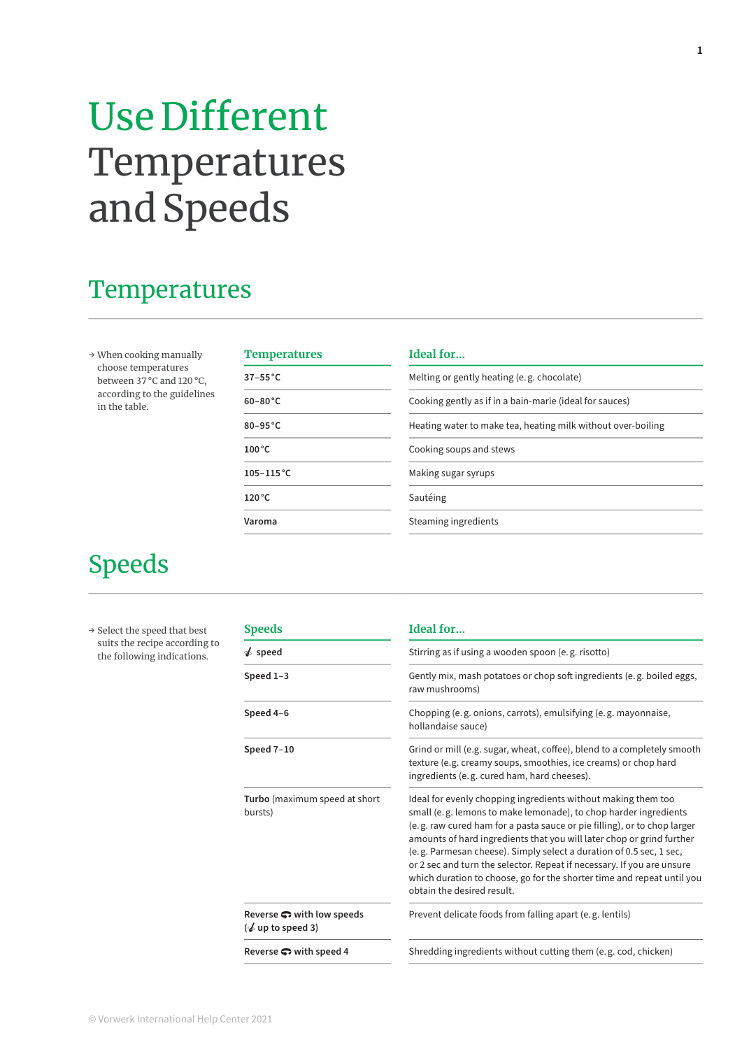## Use Different Temperatures and Speeds

#### **Temperatures**

→ When cooking manually choose temperatures between 37 °C and 120 °C, according to the guidelines in the table.

| <b>Temperatures</b> | Ideal for                                                    |
|---------------------|--------------------------------------------------------------|
| $37-55^{\circ}$ C   | Melting or gently heating (e.g. chocolate)                   |
| $60-80^{\circ}$ C   | Cooking gently as if in a bain-marie (ideal for sauces)      |
| $80-95$ °C          | Heating water to make tea, heating milk without over-boiling |
| $100^{\circ}$ C     | Cooking soups and stews                                      |
| $105 - 115$ °C      | Making sugar syrups                                          |
| $120^{\circ}$ C     | Sautéing                                                     |
| Varoma              | Steaming ingredients                                         |
|                     |                                                              |

#### Speeds

→ Select the speed that best suits the recipe according to the following indications.

| <b>Speeds</b>                                                                  | Ideal for                                                                                                                                                                                                                                                                                                                                                                                                                                                                                                                                       |  |  |  |
|--------------------------------------------------------------------------------|-------------------------------------------------------------------------------------------------------------------------------------------------------------------------------------------------------------------------------------------------------------------------------------------------------------------------------------------------------------------------------------------------------------------------------------------------------------------------------------------------------------------------------------------------|--|--|--|
| $\triangle$ speed                                                              | Stirring as if using a wooden spoon (e.g. risotto)                                                                                                                                                                                                                                                                                                                                                                                                                                                                                              |  |  |  |
| Speed 1-3                                                                      | Gently mix, mash potatoes or chop soft ingredients (e.g. boiled eggs,<br>raw mushrooms)                                                                                                                                                                                                                                                                                                                                                                                                                                                         |  |  |  |
| Speed 4-6                                                                      | Chopping (e.g. onions, carrots), emulsifying (e.g. mayonnaise,<br>hollandaise sauce)                                                                                                                                                                                                                                                                                                                                                                                                                                                            |  |  |  |
| Speed 7-10                                                                     | Grind or mill (e.g. sugar, wheat, coffee), blend to a completely smooth<br>texture (e.g. creamy soups, smoothies, ice creams) or chop hard<br>ingredients (e.g. cured ham, hard cheeses).                                                                                                                                                                                                                                                                                                                                                       |  |  |  |
| Turbo (maximum speed at short<br>bursts)                                       | Ideal for evenly chopping ingredients without making them too<br>small (e.g. lemons to make lemonade), to chop harder ingredients<br>(e.g. raw cured ham for a pasta sauce or pie filling), or to chop larger<br>amounts of hard ingredients that you will later chop or grind further<br>(e.g. Parmesan cheese). Simply select a duration of 0.5 sec, 1 sec,<br>or 2 sec and turn the selector. Repeat if necessary. If you are unsure<br>which duration to choose, go for the shorter time and repeat until you<br>obtain the desired result. |  |  |  |
| Reverse $\bullet$ with low speeds<br>$\left(\frac{1}{2}\right)$ up to speed 3) | Prevent delicate foods from falling apart (e.g. lentils)                                                                                                                                                                                                                                                                                                                                                                                                                                                                                        |  |  |  |
| Reverse $\bullet$ with speed 4                                                 | Shredding ingredients without cutting them (e.g. cod, chicken)                                                                                                                                                                                                                                                                                                                                                                                                                                                                                  |  |  |  |
|                                                                                |                                                                                                                                                                                                                                                                                                                                                                                                                                                                                                                                                 |  |  |  |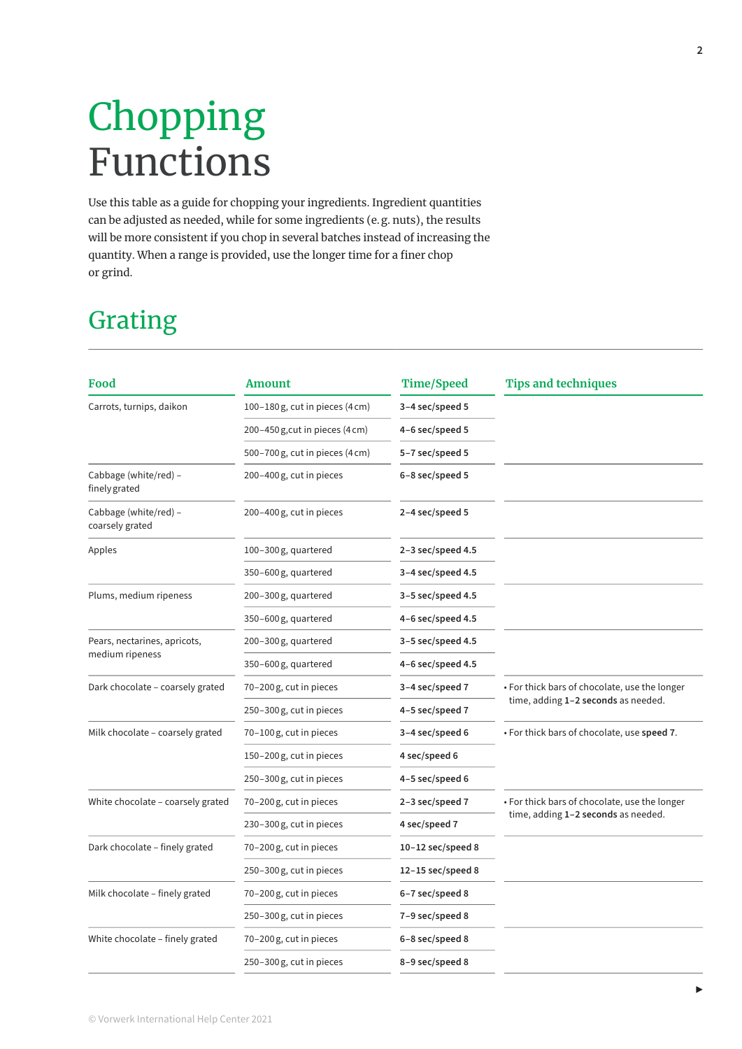# Chopping Functions

Use this table as a guide for chopping your ingredients. Ingredient quantities can be adjusted as needed, while for some ingredients (e. g. nuts), the results will be more consistent if you chop in several batches instead of increasing the quantity. When a range is provided, use the longer time for a finer chop or grind.

### Grating

| Food                                     | <b>Amount</b>                                 | <b>Time/Speed</b>     | <b>Tips and techniques</b>                    |
|------------------------------------------|-----------------------------------------------|-----------------------|-----------------------------------------------|
| Carrots, turnips, daikon                 | 100-180 g, cut in pieces $(4 \text{ cm})$     | 3-4 sec/speed 5       |                                               |
|                                          | $200 - 450$ g, cut in pieces $(4 \text{ cm})$ | 4-6 sec/speed 5       |                                               |
|                                          | 500–700 g, cut in pieces (4 cm)               | 5-7 sec/speed 5       |                                               |
| Cabbage (white/red) -<br>finely grated   | 200-400 g, cut in pieces                      | 6-8 sec/speed 5       |                                               |
| Cabbage (white/red) -<br>coarsely grated | 200-400 g, cut in pieces                      | 2-4 sec/speed 5       |                                               |
| Apples                                   | $100 - 300$ g, quartered                      | 2-3 sec/speed 4.5     |                                               |
|                                          | 350-600g, quartered                           | $3-4$ sec/speed 4.5   |                                               |
| Plums, medium ripeness                   | 200-300g, quartered                           | $3-5$ sec/speed 4.5   |                                               |
|                                          | 350-600g, quartered                           | 4-6 sec/speed 4.5     |                                               |
| Pears, nectarines, apricots,             | 200-300 g, quartered                          | $3-5$ sec/speed 4.5   |                                               |
| medium ripeness                          | 350-600g, quartered                           | 4-6 sec/speed 4.5     |                                               |
| Dark chocolate – coarsely grated         | 70-200 g, cut in pieces                       | 3-4 sec/speed 7       | • For thick bars of chocolate, use the longer |
|                                          | 250-300 g, cut in pieces                      | 4-5 sec/speed 7       | time, adding 1-2 seconds as needed.           |
| Milk chocolate - coarsely grated         | 70-100g, cut in pieces                        | 3-4 sec/speed 6       | . For thick bars of chocolate, use speed 7.   |
|                                          | 150-200 g, cut in pieces                      | 4 sec/speed 6         |                                               |
|                                          | 250-300 g, cut in pieces                      | 4-5 sec/speed 6       |                                               |
| White chocolate - coarsely grated        | 70-200 g, cut in pieces                       | 2-3 sec/speed 7       | • For thick bars of chocolate, use the longer |
|                                          | 230-300 g, cut in pieces                      | 4 sec/speed 7         | time, adding 1-2 seconds as needed.           |
| Dark chocolate - finely grated           | 70-200 g, cut in pieces                       | $10-12$ sec/speed 8   |                                               |
|                                          | 250-300 g, cut in pieces                      | $12 - 15$ sec/speed 8 |                                               |
| Milk chocolate - finely grated           | 70-200 g, cut in pieces                       | 6-7 sec/speed 8       |                                               |
|                                          | 250-300 g, cut in pieces                      | 7-9 sec/speed 8       |                                               |
| White chocolate - finely grated          | 70-200 g, cut in pieces                       | 6-8 sec/speed 8       |                                               |
|                                          | 250-300 g, cut in pieces                      | 8-9 sec/speed 8       |                                               |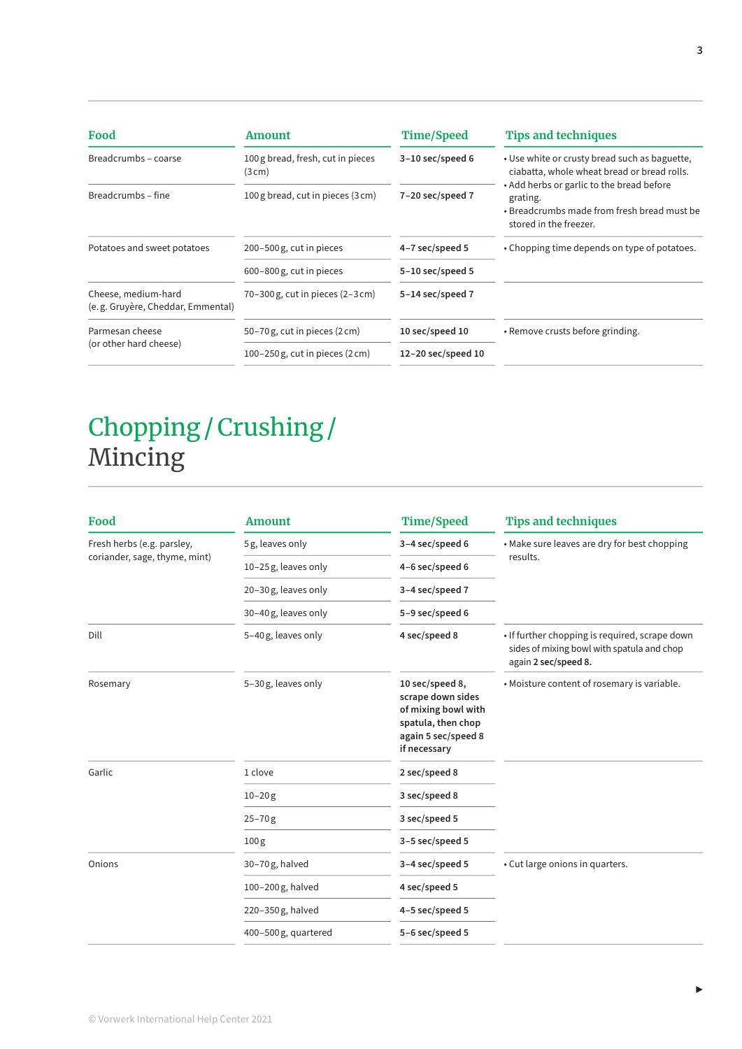| Food                                                     | Amount                                        | <b>Time/Speed</b>        | <b>Tips and techniques</b>                                                                                                     |
|----------------------------------------------------------|-----------------------------------------------|--------------------------|--------------------------------------------------------------------------------------------------------------------------------|
| Breadcrumbs - coarse                                     | 100 g bread, fresh, cut in pieces<br>(3cm)    | $3-10$ sec/speed 6       | . Use white or crusty bread such as baguette,<br>ciabatta, whole wheat bread or bread rolls.                                   |
| Breadcrumbs - fine                                       | 100 g bread, cut in pieces (3 cm)             | $7-20$ sec/speed $7$     | • Add herbs or garlic to the bread before<br>grating.<br>• Breadcrumbs made from fresh bread must be<br>stored in the freezer. |
| Potatoes and sweet potatoes                              | 200-500 g, cut in pieces                      | 4-7 sec/speed 5          | • Chopping time depends on type of potatoes.                                                                                   |
|                                                          | 600-800 g, cut in pieces                      | $5-10$ sec/speed 5       |                                                                                                                                |
| Cheese, medium-hard<br>(e.g. Gruyère, Cheddar, Emmental) | $70-300$ g, cut in pieces $(2-3$ cm)          | 5-14 sec/speed 7         |                                                                                                                                |
| Parmesan cheese                                          | 50-70g, cut in pieces (2 cm)                  | 10 sec/speed 10          | • Remove crusts before grinding.                                                                                               |
| (or other hard cheese)                                   | $100 - 250$ g, cut in pieces $(2 \text{ cm})$ | $12 - 20$ sec/speed $10$ |                                                                                                                                |

### Chopping / Crushing /  Mincing

| Food                          | <b>Amount</b>       | <b>Time/Speed</b>                                                                                                        | <b>Tips and techniques</b>                                                                                           |
|-------------------------------|---------------------|--------------------------------------------------------------------------------------------------------------------------|----------------------------------------------------------------------------------------------------------------------|
| Fresh herbs (e.g. parsley,    | 5g, leaves only     | 3-4 sec/speed 6                                                                                                          | • Make sure leaves are dry for best chopping                                                                         |
| coriander, sage, thyme, mint) | 10-25g, leaves only | 4-6 sec/speed 6                                                                                                          | results.                                                                                                             |
|                               | 20-30g, leaves only | 3-4 sec/speed 7                                                                                                          |                                                                                                                      |
|                               | 30-40g, leaves only | 5-9 sec/speed 6                                                                                                          |                                                                                                                      |
| Dill                          | 5-40g, leaves only  | 4 sec/speed 8                                                                                                            | . If further chopping is required, scrape down<br>sides of mixing bowl with spatula and chop<br>again 2 sec/speed 8. |
| Rosemary                      | 5-30g, leaves only  | 10 sec/speed 8,<br>scrape down sides<br>of mixing bowl with<br>spatula, then chop<br>again 5 sec/speed 8<br>if necessary | . Moisture content of rosemary is variable.                                                                          |
| Garlic                        | 1 clove             | 2 sec/speed 8                                                                                                            |                                                                                                                      |
|                               | $10 - 20g$          | 3 sec/speed 8                                                                                                            |                                                                                                                      |
|                               | $25 - 70g$          | 3 sec/speed 5                                                                                                            |                                                                                                                      |
|                               | 100 <sub>g</sub>    | 3-5 sec/speed 5                                                                                                          |                                                                                                                      |
| Onions                        | 30-70g, halved      | 3-4 sec/speed 5                                                                                                          | • Cut large onions in quarters.                                                                                      |
|                               | 100-200g, halved    | 4 sec/speed 5                                                                                                            |                                                                                                                      |
|                               | 220-350g, halved    | 4-5 sec/speed 5                                                                                                          |                                                                                                                      |
|                               | 400-500g, quartered | 5-6 sec/speed 5                                                                                                          |                                                                                                                      |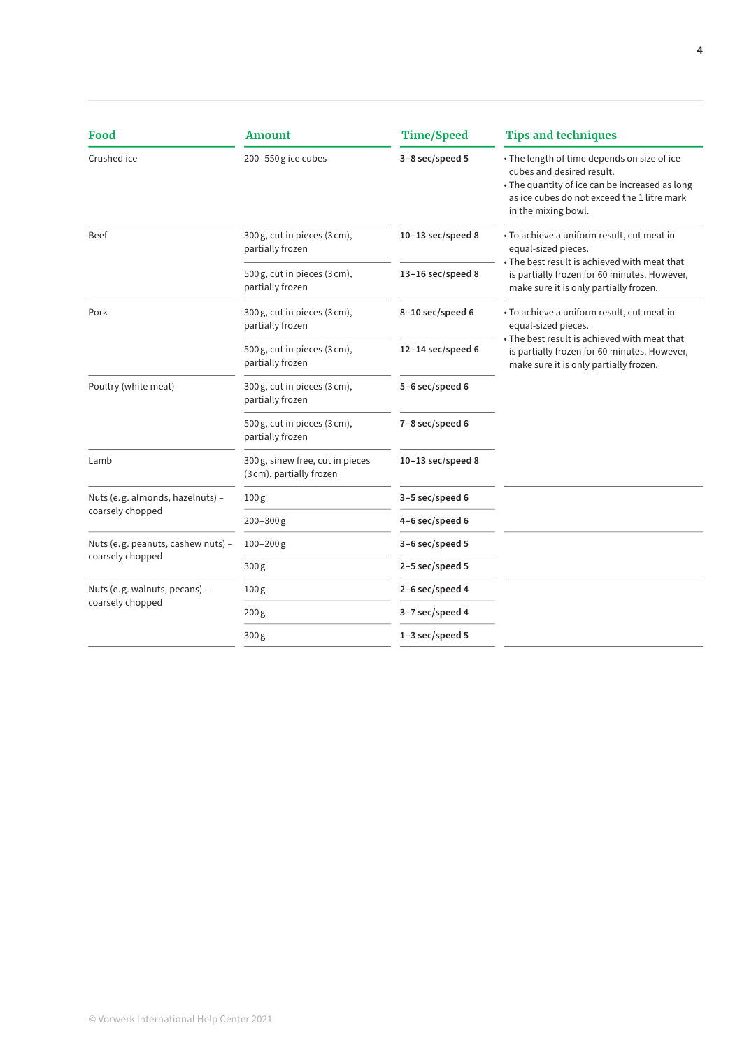| Food                                                   | <b>Amount</b>                                                | <b>Time/Speed</b>     | <b>Tips and techniques</b>                                                                                                                                                                       |
|--------------------------------------------------------|--------------------------------------------------------------|-----------------------|--------------------------------------------------------------------------------------------------------------------------------------------------------------------------------------------------|
| Crushed ice                                            | 200-550g ice cubes                                           | 3-8 sec/speed 5       | • The length of time depends on size of ice<br>cubes and desired result.<br>• The quantity of ice can be increased as long<br>as ice cubes do not exceed the 1 litre mark<br>in the mixing bowl. |
| <b>Beef</b>                                            | 300 g, cut in pieces (3 cm),<br>partially frozen             | $10-13$ sec/speed 8   | • To achieve a uniform result, cut meat in<br>equal-sized pieces.                                                                                                                                |
|                                                        | 500 g, cut in pieces (3 cm),<br>partially frozen             | $13 - 16$ sec/speed 8 | . The best result is achieved with meat that<br>is partially frozen for 60 minutes. However,<br>make sure it is only partially frozen.                                                           |
| Pork                                                   | 300 g, cut in pieces (3 cm),<br>partially frozen             | 8-10 sec/speed 6      | • To achieve a uniform result, cut meat in<br>equal-sized pieces.                                                                                                                                |
|                                                        | 500 g, cut in pieces (3 cm),<br>partially frozen             | $12-14$ sec/speed 6   | $\bullet$ The best result is achieved with meat that<br>is partially frozen for 60 minutes. However,<br>make sure it is only partially frozen.                                                   |
| Poultry (white meat)                                   | 300 g, cut in pieces (3 cm),<br>partially frozen             | 5-6 sec/speed 6       |                                                                                                                                                                                                  |
|                                                        | 500 g, cut in pieces (3 cm),<br>partially frozen             | 7-8 sec/speed 6       |                                                                                                                                                                                                  |
| Lamb                                                   | 300 g, sinew free, cut in pieces<br>(3 cm), partially frozen | $10-13$ sec/speed 8   |                                                                                                                                                                                                  |
| Nuts (e.g. almonds, hazelnuts) -                       | 100 <sub>g</sub>                                             | 3-5 sec/speed 6       |                                                                                                                                                                                                  |
| coarsely chopped                                       | $200 - 300$ g                                                | 4-6 sec/speed 6       |                                                                                                                                                                                                  |
| Nuts (e.g. peanuts, cashew nuts) -<br>coarsely chopped | $100 - 200$ g                                                | 3-6 sec/speed 5       |                                                                                                                                                                                                  |
|                                                        | 300g                                                         | 2-5 sec/speed 5       |                                                                                                                                                                                                  |
| Nuts (e.g. walnuts, pecans) -                          | 100 <sub>g</sub>                                             | 2-6 sec/speed 4       |                                                                                                                                                                                                  |
| coarsely chopped                                       | 200 <sub>g</sub>                                             | 3-7 sec/speed 4       |                                                                                                                                                                                                  |
|                                                        | 300 <sub>g</sub>                                             | 1-3 sec/speed 5       |                                                                                                                                                                                                  |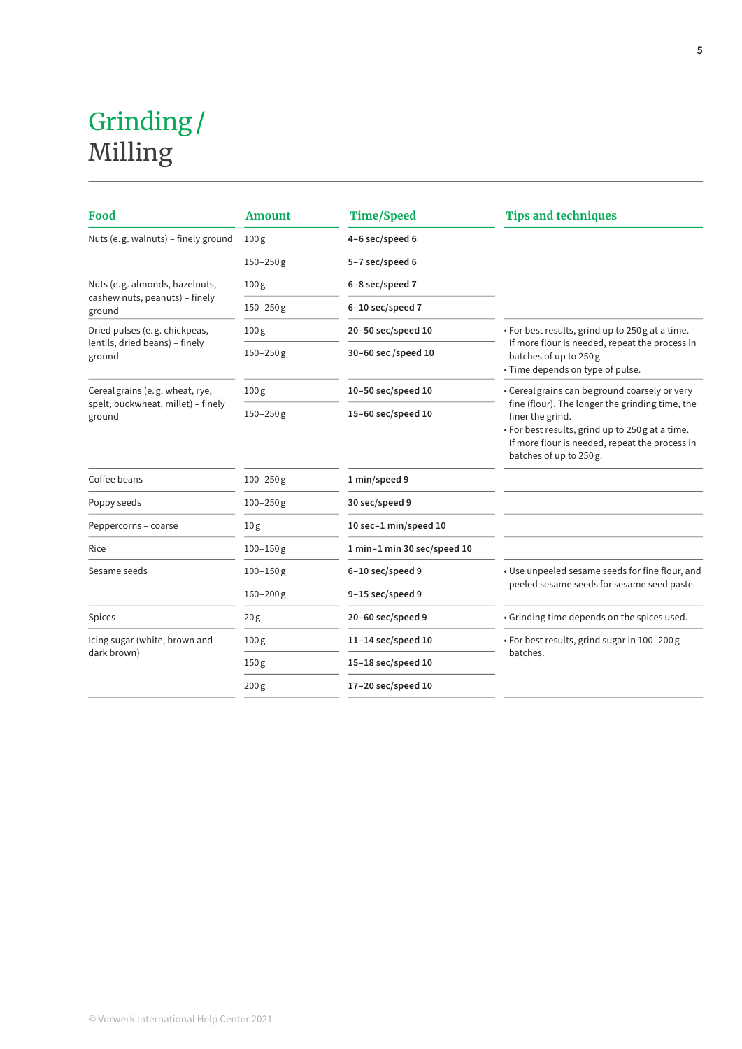### Grinding /  Milling

| Food                                         | <b>Amount</b>    | <b>Time/Speed</b>           | <b>Tips and techniques</b>                                                                                                                                                                           |
|----------------------------------------------|------------------|-----------------------------|------------------------------------------------------------------------------------------------------------------------------------------------------------------------------------------------------|
| Nuts (e.g. walnuts) - finely ground          | 100 <sub>g</sub> | 4-6 sec/speed 6             |                                                                                                                                                                                                      |
|                                              | $150 - 250$ g    | 5-7 sec/speed 6             |                                                                                                                                                                                                      |
| Nuts (e.g. almonds, hazelnuts,               | 100 <sub>g</sub> | 6-8 sec/speed 7             |                                                                                                                                                                                                      |
| cashew nuts, peanuts) - finely<br>ground     | $150 - 250$ g    | 6-10 sec/speed 7            |                                                                                                                                                                                                      |
| Dried pulses (e.g. chickpeas,                | 100 <sub>g</sub> | 20-50 sec/speed 10          | • For best results, grind up to 250 g at a time.                                                                                                                                                     |
| lentils, dried beans) - finely<br>ground     | $150 - 250$ g    | 30-60 sec /speed 10         | If more flour is needed, repeat the process in<br>batches of up to 250 g.<br>• Time depends on type of pulse.                                                                                        |
| Cereal grains (e.g. wheat, rye,              | 100 <sub>g</sub> | 10-50 sec/speed 10          | • Cereal grains can be ground coarsely or very                                                                                                                                                       |
| spelt, buckwheat, millet) - finely<br>ground | $150 - 250$ g    | $15-60$ sec/speed 10        | fine (flour). The longer the grinding time, the<br>finer the grind.<br>• For best results, grind up to 250 g at a time.<br>If more flour is needed, repeat the process in<br>batches of up to 250 g. |
| Coffee beans                                 | $100 - 250$ g    | 1 min/speed 9               |                                                                                                                                                                                                      |
| Poppy seeds                                  | $100 - 250$ g    | 30 sec/speed 9              |                                                                                                                                                                                                      |
| Peppercorns - coarse                         | 10 <sub>g</sub>  | 10 sec-1 min/speed 10       |                                                                                                                                                                                                      |
| Rice                                         | $100 - 150$ g    | 1 min-1 min 30 sec/speed 10 |                                                                                                                                                                                                      |
| Sesame seeds                                 | $100 - 150$ g    | 6-10 sec/speed 9            | • Use unpeeled sesame seeds for fine flour, and                                                                                                                                                      |
|                                              | $160 - 200$ g    | 9-15 sec/speed 9            | peeled sesame seeds for sesame seed paste.                                                                                                                                                           |
| Spices                                       | 20 <sub>g</sub>  | 20-60 sec/speed 9           | • Grinding time depends on the spices used.                                                                                                                                                          |
| Icing sugar (white, brown and                | 100 <sub>g</sub> | $11-14$ sec/speed 10        | • For best results, grind sugar in 100-200 g                                                                                                                                                         |
| dark brown)                                  | 150 <sub>g</sub> | 15-18 sec/speed 10          | batches.                                                                                                                                                                                             |
|                                              | 200 <sub>g</sub> | 17-20 sec/speed 10          |                                                                                                                                                                                                      |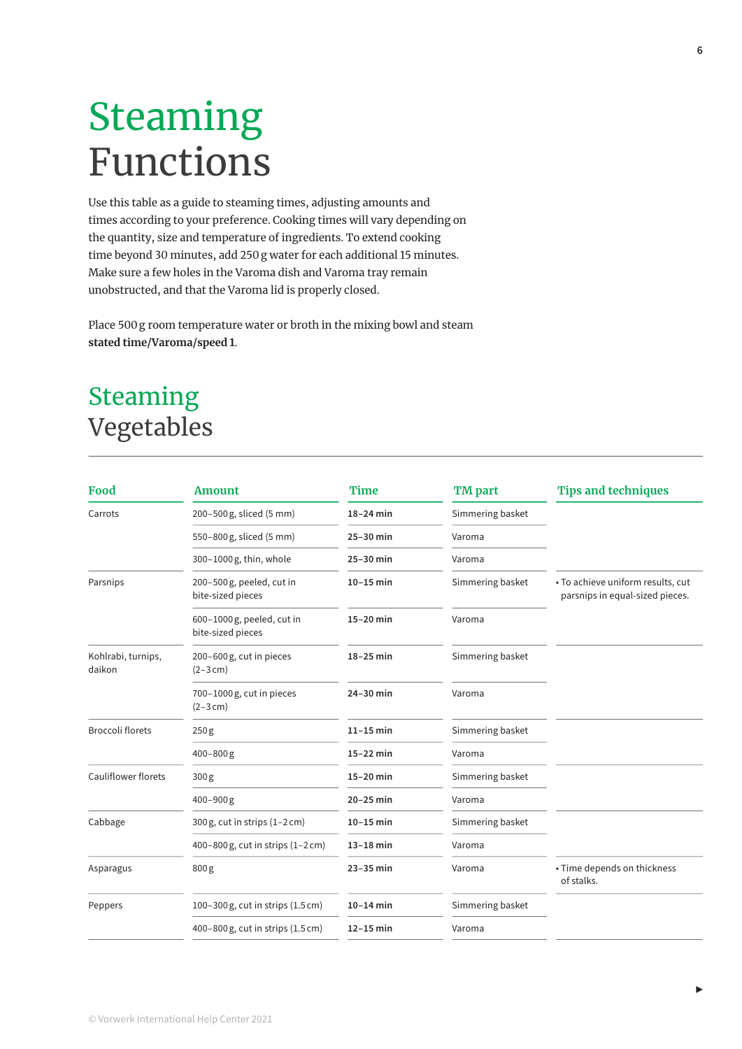## Steaming Functions

Use this table as a guide to steaming times, adjusting amounts and times according to your preference. Cooking times will vary depending on the quantity, size and temperature of ingredients. To extend cooking time beyond 30 minutes, add 250 g water for each additional 15 minutes. Make sure a few holes in the Varoma dish and Varoma tray remain unobstructed, and that the Varoma lid is properly closed.

Place 500 g room temperature water or broth in the mixing bowl and steam **stated time/Varoma/speed 1** .

### Steaming Vegetables

| Food                         | <b>Amount</b>                                   | <b>Time</b> | <b>TM</b> part   | <b>Tips and techniques</b>                                           |
|------------------------------|-------------------------------------------------|-------------|------------------|----------------------------------------------------------------------|
| Carrots                      | 200-500 g, sliced (5 mm)                        | $18-24$ min | Simmering basket |                                                                      |
|                              | 550-800 g, sliced (5 mm)                        | 25-30 min   | Varoma           |                                                                      |
|                              | 300-1000g, thin, whole                          | 25-30 min   | Varoma           |                                                                      |
| Parsnips                     | 200-500g, peeled, cut in<br>bite-sized pieces   | $10-15$ min | Simmering basket | • To achieve uniform results, cut<br>parsnips in equal-sized pieces. |
|                              | 600-1000 g, peeled, cut in<br>bite-sized pieces | 15-20 min   | Varoma           |                                                                      |
| Kohlrabi, turnips,<br>daikon | 200-600 g, cut in pieces<br>$(2 - 3 cm)$        | $18-25$ min | Simmering basket |                                                                      |
|                              | 700-1000 g, cut in pieces<br>$(2 - 3 cm)$       | 24-30 min   | Varoma           |                                                                      |
| <b>Broccoli florets</b>      | 250 <sub>g</sub>                                | $11-15$ min | Simmering basket |                                                                      |
|                              | $400 - 800$ g                                   | $15-22$ min | Varoma           |                                                                      |
| <b>Cauliflower florets</b>   | 300 <sub>g</sub>                                | $15-20$ min | Simmering basket |                                                                      |
|                              | $400 - 900$ g                                   | $20-25$ min | Varoma           |                                                                      |
| Cabbage                      | $300 g$ , cut in strips $(1-2 cm)$              | $10-15$ min | Simmering basket |                                                                      |
|                              | 400-800 g, cut in strips (1-2 cm)               | $13-18$ min | Varoma           |                                                                      |
| Asparagus                    | 800 <sub>g</sub>                                | 23-35 min   | Varoma           | • Time depends on thickness<br>of stalks.                            |
| Peppers                      | 100-300 g, cut in strips (1.5 cm)               | $10-14$ min | Simmering basket |                                                                      |
|                              | 400-800 g, cut in strips (1.5 cm)               | $12-15$ min | Varoma           |                                                                      |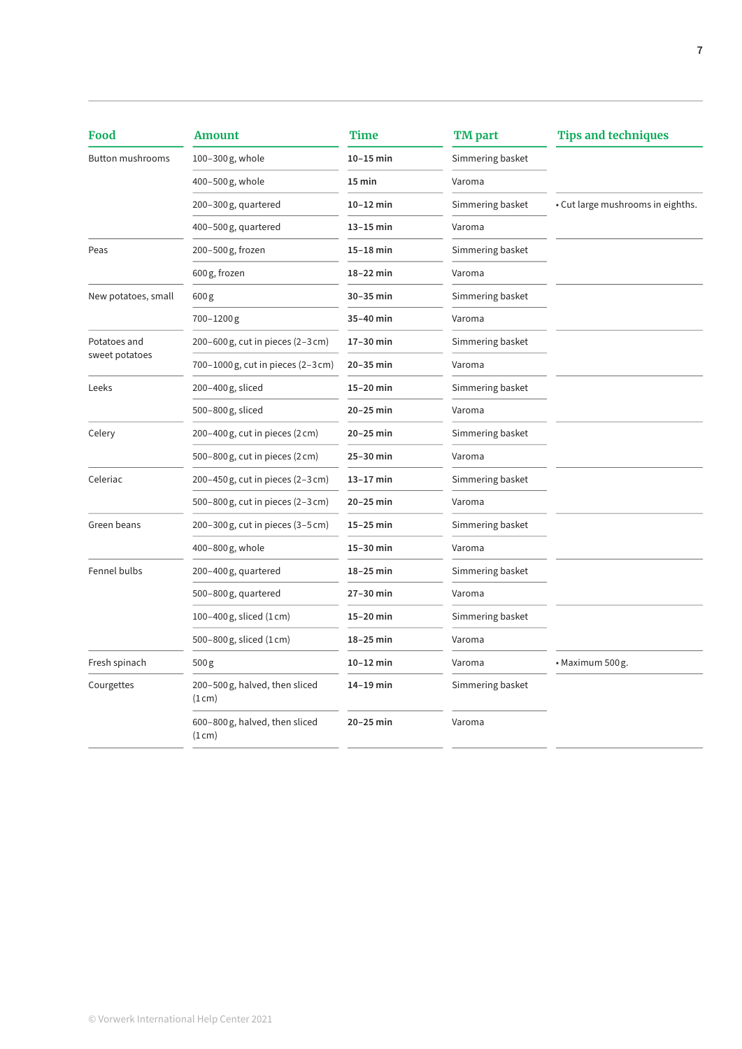| Food                    | <b>Amount</b>                          | Time        | <b>TM</b> part   | <b>Tips and techniques</b>        |
|-------------------------|----------------------------------------|-------------|------------------|-----------------------------------|
| <b>Button mushrooms</b> | 100-300g, whole                        | $10-15$ min | Simmering basket |                                   |
|                         | 400-500g, whole                        | 15 min      | Varoma           |                                   |
|                         | 200-300g, quartered                    | $10-12$ min | Simmering basket | • Cut large mushrooms in eighths. |
|                         | 400-500g, quartered                    | 13-15 min   | Varoma           |                                   |
| Peas                    | 200-500g, frozen                       | 15-18 min   | Simmering basket |                                   |
|                         | 600 g, frozen                          | 18-22 min   | Varoma           |                                   |
| New potatoes, small     | 600 <sub>g</sub>                       | 30-35 min   | Simmering basket |                                   |
|                         | 700-1200g                              | 35-40 min   | Varoma           |                                   |
| Potatoes and            | 200-600 g, cut in pieces (2-3 cm)      | 17-30 min   | Simmering basket |                                   |
| sweet potatoes          | 700-1000 g, cut in pieces (2-3 cm)     | 20-35 min   | Varoma           |                                   |
| Leeks                   | 200-400g, sliced                       | 15-20 min   | Simmering basket |                                   |
|                         | 500-800 g, sliced                      | 20-25 min   | Varoma           |                                   |
| Celery                  | 200-400 g, cut in pieces (2 cm)        | 20-25 min   | Simmering basket |                                   |
|                         | 500-800 g, cut in pieces (2 cm)        | 25-30 min   | Varoma           |                                   |
| Celeriac                | 200-450 g, cut in pieces (2-3 cm)      | $13-17$ min | Simmering basket |                                   |
|                         | 500-800 g, cut in pieces (2-3 cm)      | 20-25 min   | Varoma           |                                   |
| Green beans             | 200–300 g, cut in pieces (3–5 cm)      | $15-25$ min | Simmering basket |                                   |
|                         | 400-800g, whole                        | 15-30 min   | Varoma           |                                   |
| Fennel bulbs            | 200-400g, quartered                    | 18-25 min   | Simmering basket |                                   |
|                         | 500-800g, quartered                    | 27-30 min   | Varoma           |                                   |
|                         | 100-400 g, sliced (1 cm)               | 15-20 min   | Simmering basket |                                   |
|                         | 500-800 g, sliced (1 cm)               | 18-25 min   | Varoma           |                                   |
| Fresh spinach           | 500 g                                  | $10-12$ min | Varoma           | • Maximum 500 g.                  |
| Courgettes              | 200-500g, halved, then sliced<br>(1cm) | $14-19$ min | Simmering basket |                                   |
|                         | 600-800g, halved, then sliced<br>(1cm) | 20-25 min   | Varoma           |                                   |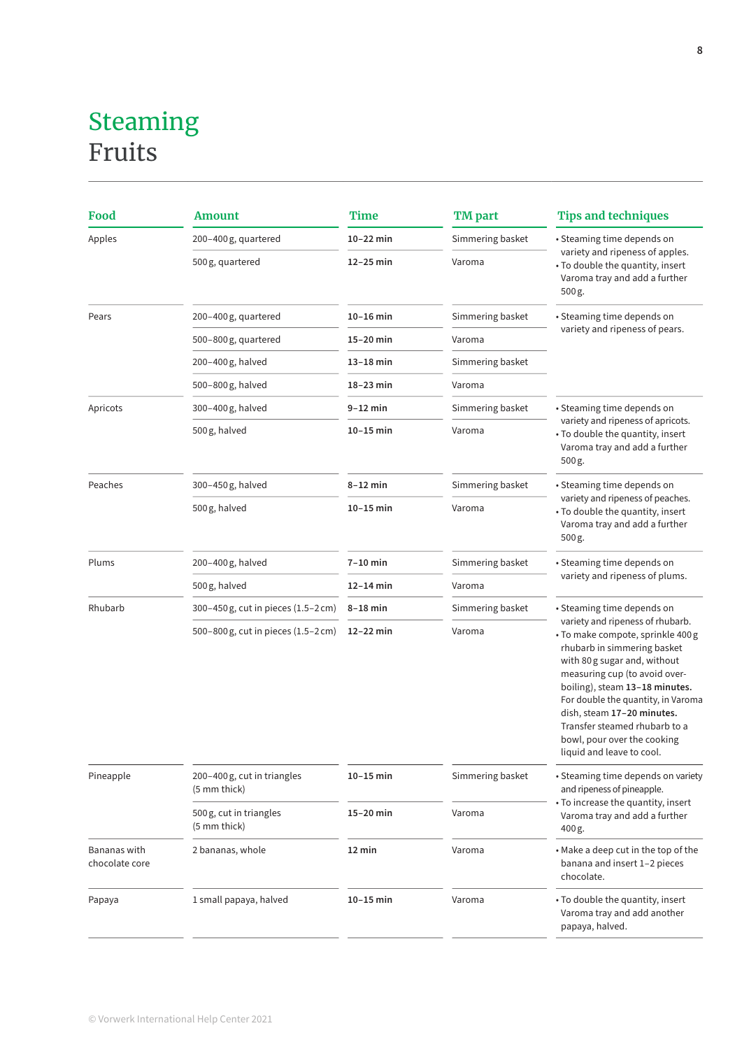#### Steaming Fruits

| Food                           | <b>Amount</b>                               | Time        | <b>TM</b> part   | <b>Tips and techniques</b>                                                                                                                                                                                                                                                                                                                                               |
|--------------------------------|---------------------------------------------|-------------|------------------|--------------------------------------------------------------------------------------------------------------------------------------------------------------------------------------------------------------------------------------------------------------------------------------------------------------------------------------------------------------------------|
| Apples                         | 200-400g, quartered                         | $10-22$ min | Simmering basket | • Steaming time depends on                                                                                                                                                                                                                                                                                                                                               |
|                                | 500 g, quartered                            | 12-25 min   | Varoma           | variety and ripeness of apples.<br>• To double the quantity, insert<br>Varoma tray and add a further<br>500 g.                                                                                                                                                                                                                                                           |
| Pears                          | 200–400 g, quartered                        | $10-16$ min | Simmering basket | • Steaming time depends on                                                                                                                                                                                                                                                                                                                                               |
|                                | 500–800 g, quartered                        | 15-20 min   | Varoma           | variety and ripeness of pears.                                                                                                                                                                                                                                                                                                                                           |
|                                | 200-400 g, halved                           | $13-18$ min | Simmering basket |                                                                                                                                                                                                                                                                                                                                                                          |
|                                | 500-800g, halved                            | 18-23 min   | Varoma           |                                                                                                                                                                                                                                                                                                                                                                          |
| Apricots                       | 300–400 g, halved                           | 9-12 min    | Simmering basket | • Steaming time depends on                                                                                                                                                                                                                                                                                                                                               |
|                                | 500 g, halved                               | $10-15$ min | Varoma           | variety and ripeness of apricots.<br>• To double the quantity, insert<br>Varoma tray and add a further<br>500 g.                                                                                                                                                                                                                                                         |
| Peaches                        | 300-450g, halved                            | $8-12$ min  | Simmering basket | • Steaming time depends on                                                                                                                                                                                                                                                                                                                                               |
|                                | 500 g, halved                               | $10-15$ min | Varoma           | variety and ripeness of peaches.<br>• To double the quantity, insert<br>Varoma tray and add a further<br>500 g.                                                                                                                                                                                                                                                          |
| Plums                          | 200-400 g, halved                           | $7-10$ min  | Simmering basket | · Steaming time depends on                                                                                                                                                                                                                                                                                                                                               |
|                                | 500 g, halved                               | 12-14 min   | Varoma           | variety and ripeness of plums.                                                                                                                                                                                                                                                                                                                                           |
| Rhubarb                        | 300-450 g, cut in pieces (1.5-2 cm)         | $8-18$ min  | Simmering basket | • Steaming time depends on                                                                                                                                                                                                                                                                                                                                               |
|                                | 500-800 g, cut in pieces (1.5-2 cm)         | 12-22 min   | Varoma           | variety and ripeness of rhubarb.<br>• To make compote, sprinkle 400 g<br>rhubarb in simmering basket<br>with 80 g sugar and, without<br>measuring cup (to avoid over-<br>boiling), steam 13-18 minutes.<br>For double the quantity, in Varoma<br>dish, steam 17-20 minutes.<br>Transfer steamed rhubarb to a<br>bowl, pour over the cooking<br>liquid and leave to cool. |
| Pineapple                      | 200-400 g, cut in triangles<br>(5 mm thick) | $10-15$ min | Simmering basket | • Steaming time depends on variety<br>and ripeness of pineapple.                                                                                                                                                                                                                                                                                                         |
|                                | 500 g, cut in triangles<br>(5 mm thick)     | 15-20 min   | Varoma           | • To increase the quantity, insert<br>Varoma tray and add a further<br>400 g.                                                                                                                                                                                                                                                                                            |
| Bananas with<br>chocolate core | 2 bananas, whole                            | 12 min      | Varoma           | • Make a deep cut in the top of the<br>banana and insert 1-2 pieces<br>chocolate.                                                                                                                                                                                                                                                                                        |
| Papaya                         | 1 small papaya, halved                      | $10-15$ min | Varoma           | • To double the quantity, insert<br>Varoma tray and add another<br>papaya, halved.                                                                                                                                                                                                                                                                                       |
|                                |                                             |             |                  |                                                                                                                                                                                                                                                                                                                                                                          |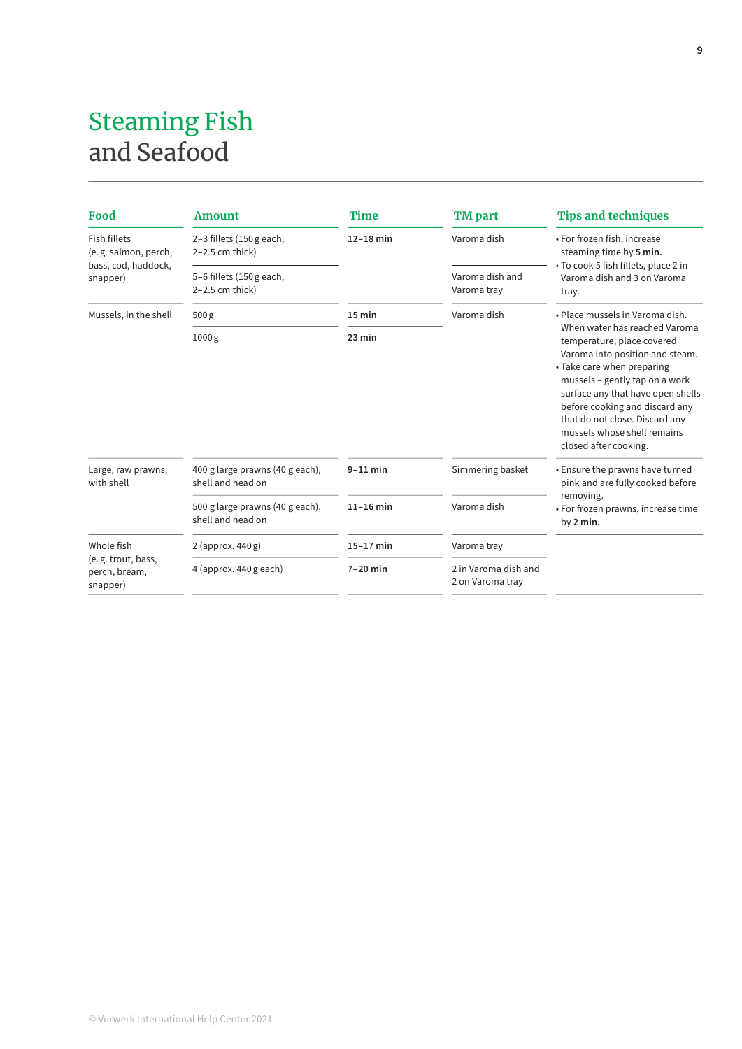#### Steaming Fish and Seafood

| Food                                            | <b>Amount</b>                                        | <b>Time</b> | <b>TM</b> part                           | <b>Tips and techniques</b>                                                                                                                                                                                                                                                                                                      |
|-------------------------------------------------|------------------------------------------------------|-------------|------------------------------------------|---------------------------------------------------------------------------------------------------------------------------------------------------------------------------------------------------------------------------------------------------------------------------------------------------------------------------------|
| <b>Fish fillets</b><br>(e.g. salmon, perch,     | 2-3 fillets (150 g each,<br>$2-2.5$ cm thick)        | $12-18$ min | Varoma dish                              | • For frozen fish, increase<br>steaming time by 5 min.                                                                                                                                                                                                                                                                          |
| bass, cod, haddock,<br>snapper)                 | 5-6 fillets (150 g each,<br>$2-2.5$ cm thick)        |             | Varoma dish and<br>Varoma tray           | • To cook 5 fish fillets, place 2 in<br>Varoma dish and 3 on Varoma<br>tray.                                                                                                                                                                                                                                                    |
| Mussels, in the shell                           | 500g                                                 | $15$ min    | Varoma dish                              | · Place mussels in Varoma dish.                                                                                                                                                                                                                                                                                                 |
|                                                 | 1000g                                                | $23$ min    |                                          | When water has reached Varoma<br>temperature, place covered<br>Varoma into position and steam.<br>• Take care when preparing<br>mussels - gently tap on a work<br>surface any that have open shells<br>before cooking and discard any<br>that do not close. Discard any<br>mussels whose shell remains<br>closed after cooking. |
| Large, raw prawns,<br>with shell                | 400 g large prawns (40 g each),<br>shell and head on | $9-11$ min  | Simmering basket                         | • Ensure the prawns have turned<br>pink and are fully cooked before                                                                                                                                                                                                                                                             |
|                                                 | 500 g large prawns (40 g each),<br>shell and head on | $11-16$ min | Varoma dish                              | removing.<br>• For frozen prawns, increase time<br>by 2 min.                                                                                                                                                                                                                                                                    |
| Whole fish                                      | $2$ (approx. 440 g)                                  | $15-17$ min | Varoma tray                              |                                                                                                                                                                                                                                                                                                                                 |
| (e.g. trout, bass,<br>perch, bream,<br>snapper) | 4 (approx. 440 g each)                               | $7-20$ min  | 2 in Varoma dish and<br>2 on Varoma tray |                                                                                                                                                                                                                                                                                                                                 |